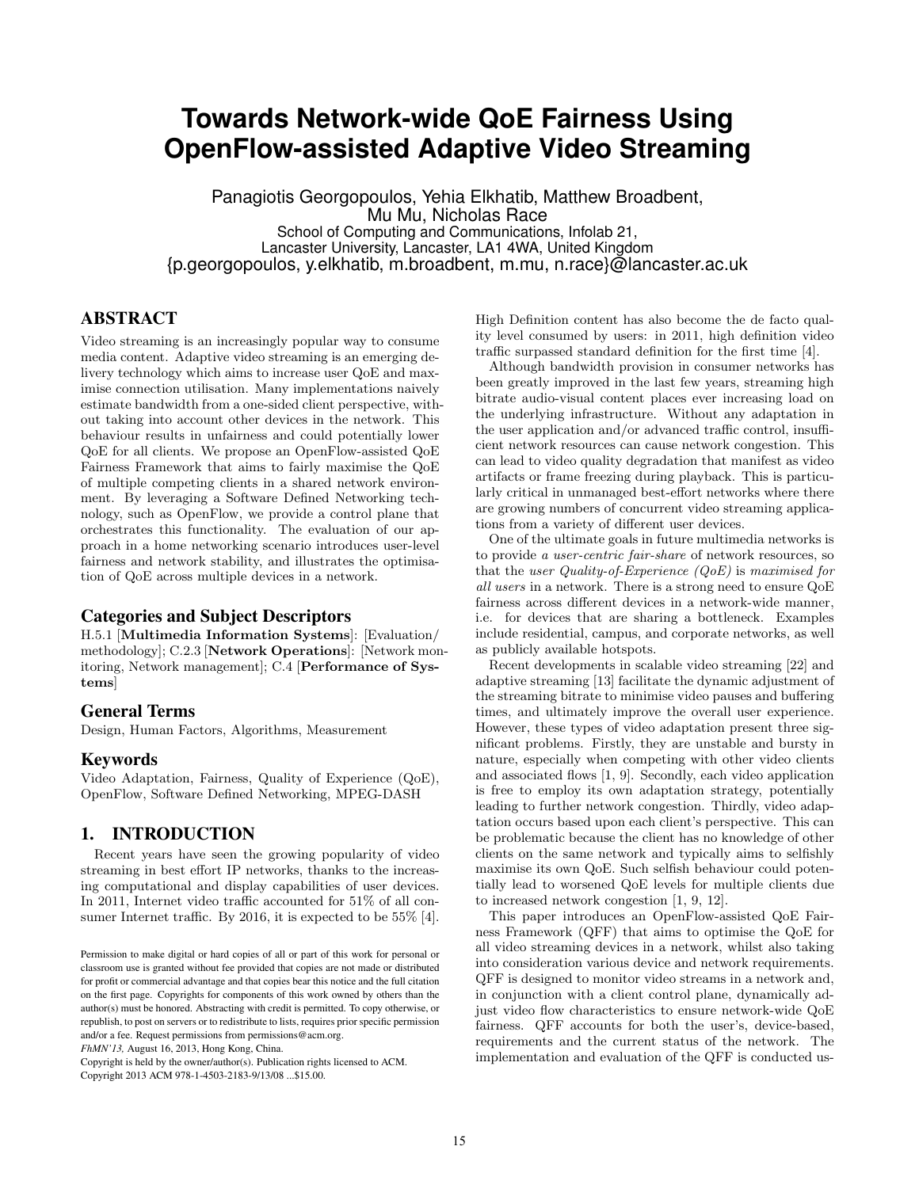# **Towards Network-wide QoE Fairness Using OpenFlow-assisted Adaptive Video Streaming**

Panagiotis Georgopoulos, Yehia Elkhatib, Matthew Broadbent, Mu Mu, Nicholas Race School of Computing and Communications, Infolab 21, Lancaster University, Lancaster, LA1 4WA, United Kingdom {p.georgopoulos, y.elkhatib, m.broadbent, m.mu, n.race}@lancaster.ac.uk

## ABSTRACT

Video streaming is an increasingly popular way to consume media content. Adaptive video streaming is an emerging delivery technology which aims to increase user QoE and maximise connection utilisation. Many implementations naively estimate bandwidth from a one-sided client perspective, without taking into account other devices in the network. This behaviour results in unfairness and could potentially lower QoE for all clients. We propose an OpenFlow-assisted QoE Fairness Framework that aims to fairly maximise the QoE of multiple competing clients in a shared network environment. By leveraging a Software Defined Networking technology, such as OpenFlow, we provide a control plane that orchestrates this functionality. The evaluation of our approach in a home networking scenario introduces user-level fairness and network stability, and illustrates the optimisation of QoE across multiple devices in a network.

#### Categories and Subject Descriptors

H.5.1 [Multimedia Information Systems]: [Evaluation/ methodology]; C.2.3 [Network Operations]: [Network monitoring, Network management]; C.4 [Performance of Systems]

#### General Terms

Design, Human Factors, Algorithms, Measurement

#### Keywords

Video Adaptation, Fairness, Quality of Experience (QoE), OpenFlow, Software Defined Networking, MPEG-DASH

#### 1. INTRODUCTION

Recent years have seen the growing popularity of video streaming in best effort IP networks, thanks to the increasing computational and display capabilities of user devices. In 2011, Internet video traffic accounted for 51% of all consumer Internet traffic. By 2016, it is expected to be 55% [4].

*FhMN'13,* August 16, 2013, Hong Kong, China.

High Definition content has also become the de facto quality level consumed by users: in 2011, high definition video traffic surpassed standard definition for the first time [4].

Although bandwidth provision in consumer networks has been greatly improved in the last few years, streaming high bitrate audio-visual content places ever increasing load on the underlying infrastructure. Without any adaptation in the user application and/or advanced traffic control, insufficient network resources can cause network congestion. This can lead to video quality degradation that manifest as video artifacts or frame freezing during playback. This is particularly critical in unmanaged best-effort networks where there are growing numbers of concurrent video streaming applications from a variety of different user devices.

One of the ultimate goals in future multimedia networks is to provide a user-centric fair-share of network resources, so that the user Quality-of-Experience  $(QoE)$  is maximised for all users in a network. There is a strong need to ensure QoE fairness across different devices in a network-wide manner, i.e. for devices that are sharing a bottleneck. Examples include residential, campus, and corporate networks, as well as publicly available hotspots.

Recent developments in scalable video streaming [22] and adaptive streaming [13] facilitate the dynamic adjustment of the streaming bitrate to minimise video pauses and buffering times, and ultimately improve the overall user experience. However, these types of video adaptation present three significant problems. Firstly, they are unstable and bursty in nature, especially when competing with other video clients and associated flows [1, 9]. Secondly, each video application is free to employ its own adaptation strategy, potentially leading to further network congestion. Thirdly, video adaptation occurs based upon each client's perspective. This can be problematic because the client has no knowledge of other clients on the same network and typically aims to selfishly maximise its own QoE. Such selfish behaviour could potentially lead to worsened QoE levels for multiple clients due to increased network congestion [1, 9, 12].

This paper introduces an OpenFlow-assisted QoE Fairness Framework (QFF) that aims to optimise the QoE for all video streaming devices in a network, whilst also taking into consideration various device and network requirements. QFF is designed to monitor video streams in a network and, in conjunction with a client control plane, dynamically adjust video flow characteristics to ensure network-wide QoE fairness. QFF accounts for both the user's, device-based, requirements and the current status of the network. The implementation and evaluation of the QFF is conducted us-

Permission to make digital or hard copies of all or part of this work for personal or classroom use is granted without fee provided that copies are not made or distributed for profit or commercial advantage and that copies bear this notice and the full citation on the first page. Copyrights for components of this work owned by others than the author(s) must be honored. Abstracting with credit is permitted. To copy otherwise, or republish, to post on servers or to redistribute to lists, requires prior specific permission and/or a fee. Request permissions from permissions@acm.org.

Copyright is held by the owner/author(s). Publication rights licensed to ACM. Copyright 2013 ACM 978-1-4503-2183-9/13/08 ...\$15.00.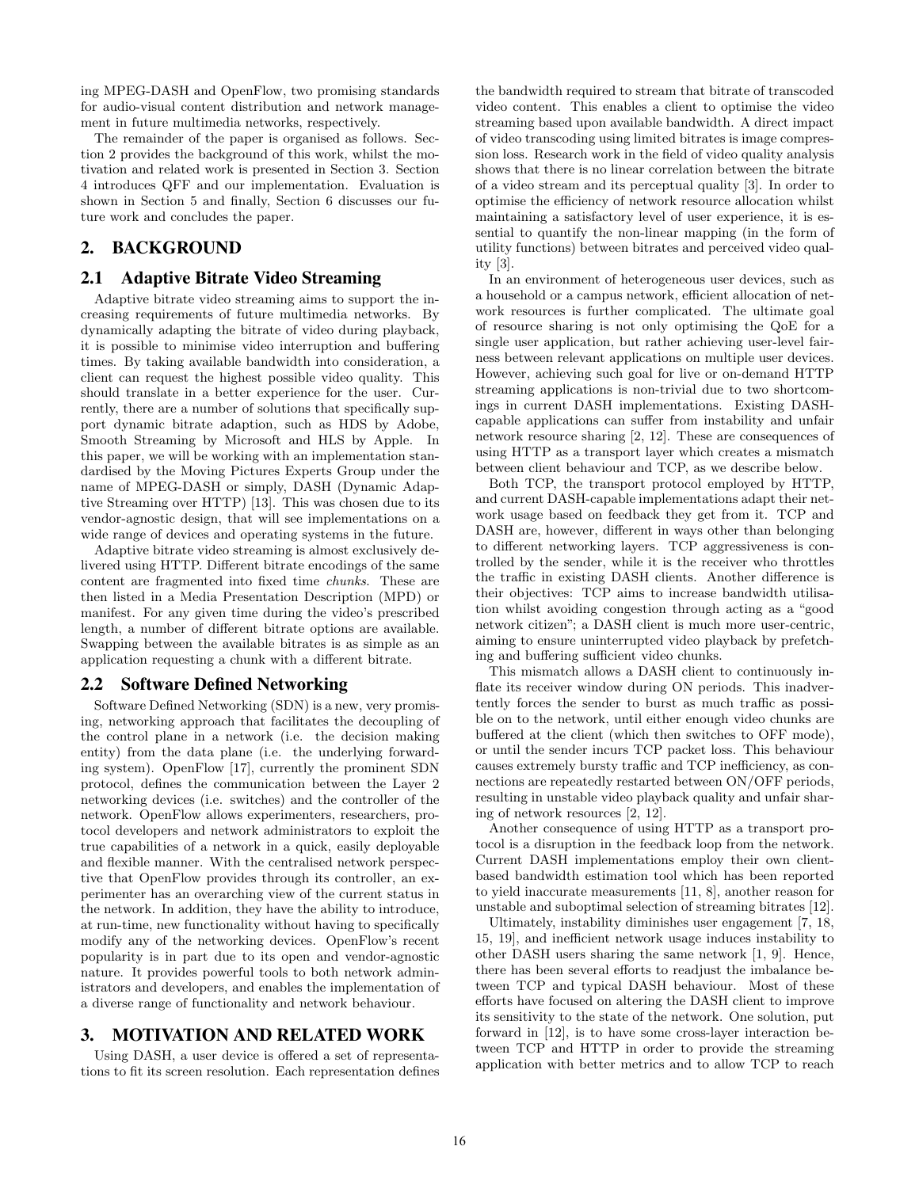ing MPEG-DASH and OpenFlow, two promising standards for audio-visual content distribution and network management in future multimedia networks, respectively.

The remainder of the paper is organised as follows. Section 2 provides the background of this work, whilst the motivation and related work is presented in Section 3. Section 4 introduces QFF and our implementation. Evaluation is shown in Section 5 and finally, Section 6 discusses our future work and concludes the paper.

### 2. BACKGROUND

#### 2.1 Adaptive Bitrate Video Streaming

Adaptive bitrate video streaming aims to support the increasing requirements of future multimedia networks. By dynamically adapting the bitrate of video during playback, it is possible to minimise video interruption and buffering times. By taking available bandwidth into consideration, a client can request the highest possible video quality. This should translate in a better experience for the user. Currently, there are a number of solutions that specifically support dynamic bitrate adaption, such as HDS by Adobe, Smooth Streaming by Microsoft and HLS by Apple. In this paper, we will be working with an implementation standardised by the Moving Pictures Experts Group under the name of MPEG-DASH or simply, DASH (Dynamic Adaptive Streaming over HTTP) [13]. This was chosen due to its vendor-agnostic design, that will see implementations on a wide range of devices and operating systems in the future.

Adaptive bitrate video streaming is almost exclusively delivered using HTTP. Different bitrate encodings of the same content are fragmented into fixed time chunks. These are then listed in a Media Presentation Description (MPD) or manifest. For any given time during the video's prescribed length, a number of different bitrate options are available. Swapping between the available bitrates is as simple as an application requesting a chunk with a different bitrate.

#### 2.2 Software Defined Networking

Software Defined Networking (SDN) is a new, very promising, networking approach that facilitates the decoupling of the control plane in a network (i.e. the decision making entity) from the data plane (i.e. the underlying forwarding system). OpenFlow [17], currently the prominent SDN protocol, defines the communication between the Layer 2 networking devices (i.e. switches) and the controller of the network. OpenFlow allows experimenters, researchers, protocol developers and network administrators to exploit the true capabilities of a network in a quick, easily deployable and flexible manner. With the centralised network perspective that OpenFlow provides through its controller, an experimenter has an overarching view of the current status in the network. In addition, they have the ability to introduce, at run-time, new functionality without having to specifically modify any of the networking devices. OpenFlow's recent popularity is in part due to its open and vendor-agnostic nature. It provides powerful tools to both network administrators and developers, and enables the implementation of a diverse range of functionality and network behaviour.

#### 3. MOTIVATION AND RELATED WORK

Using DASH, a user device is offered a set of representations to fit its screen resolution. Each representation defines the bandwidth required to stream that bitrate of transcoded video content. This enables a client to optimise the video streaming based upon available bandwidth. A direct impact of video transcoding using limited bitrates is image compression loss. Research work in the field of video quality analysis shows that there is no linear correlation between the bitrate of a video stream and its perceptual quality [3]. In order to optimise the efficiency of network resource allocation whilst maintaining a satisfactory level of user experience, it is essential to quantify the non-linear mapping (in the form of utility functions) between bitrates and perceived video quality [3].

In an environment of heterogeneous user devices, such as a household or a campus network, efficient allocation of network resources is further complicated. The ultimate goal of resource sharing is not only optimising the QoE for a single user application, but rather achieving user-level fairness between relevant applications on multiple user devices. However, achieving such goal for live or on-demand HTTP streaming applications is non-trivial due to two shortcomings in current DASH implementations. Existing DASHcapable applications can suffer from instability and unfair network resource sharing [2, 12]. These are consequences of using HTTP as a transport layer which creates a mismatch between client behaviour and TCP, as we describe below.

Both TCP, the transport protocol employed by HTTP, and current DASH-capable implementations adapt their network usage based on feedback they get from it. TCP and DASH are, however, different in ways other than belonging to different networking layers. TCP aggressiveness is controlled by the sender, while it is the receiver who throttles the traffic in existing DASH clients. Another difference is their objectives: TCP aims to increase bandwidth utilisation whilst avoiding congestion through acting as a "good network citizen"; a DASH client is much more user-centric, aiming to ensure uninterrupted video playback by prefetching and buffering sufficient video chunks.

This mismatch allows a DASH client to continuously inflate its receiver window during ON periods. This inadvertently forces the sender to burst as much traffic as possible on to the network, until either enough video chunks are buffered at the client (which then switches to OFF mode), or until the sender incurs TCP packet loss. This behaviour causes extremely bursty traffic and TCP inefficiency, as connections are repeatedly restarted between ON/OFF periods, resulting in unstable video playback quality and unfair sharing of network resources [2, 12].

Another consequence of using HTTP as a transport protocol is a disruption in the feedback loop from the network. Current DASH implementations employ their own clientbased bandwidth estimation tool which has been reported to yield inaccurate measurements [11, 8], another reason for unstable and suboptimal selection of streaming bitrates [12].

Ultimately, instability diminishes user engagement [7, 18, 15, 19], and inefficient network usage induces instability to other DASH users sharing the same network [1, 9]. Hence, there has been several efforts to readjust the imbalance between TCP and typical DASH behaviour. Most of these efforts have focused on altering the DASH client to improve its sensitivity to the state of the network. One solution, put forward in [12], is to have some cross-layer interaction between TCP and HTTP in order to provide the streaming application with better metrics and to allow TCP to reach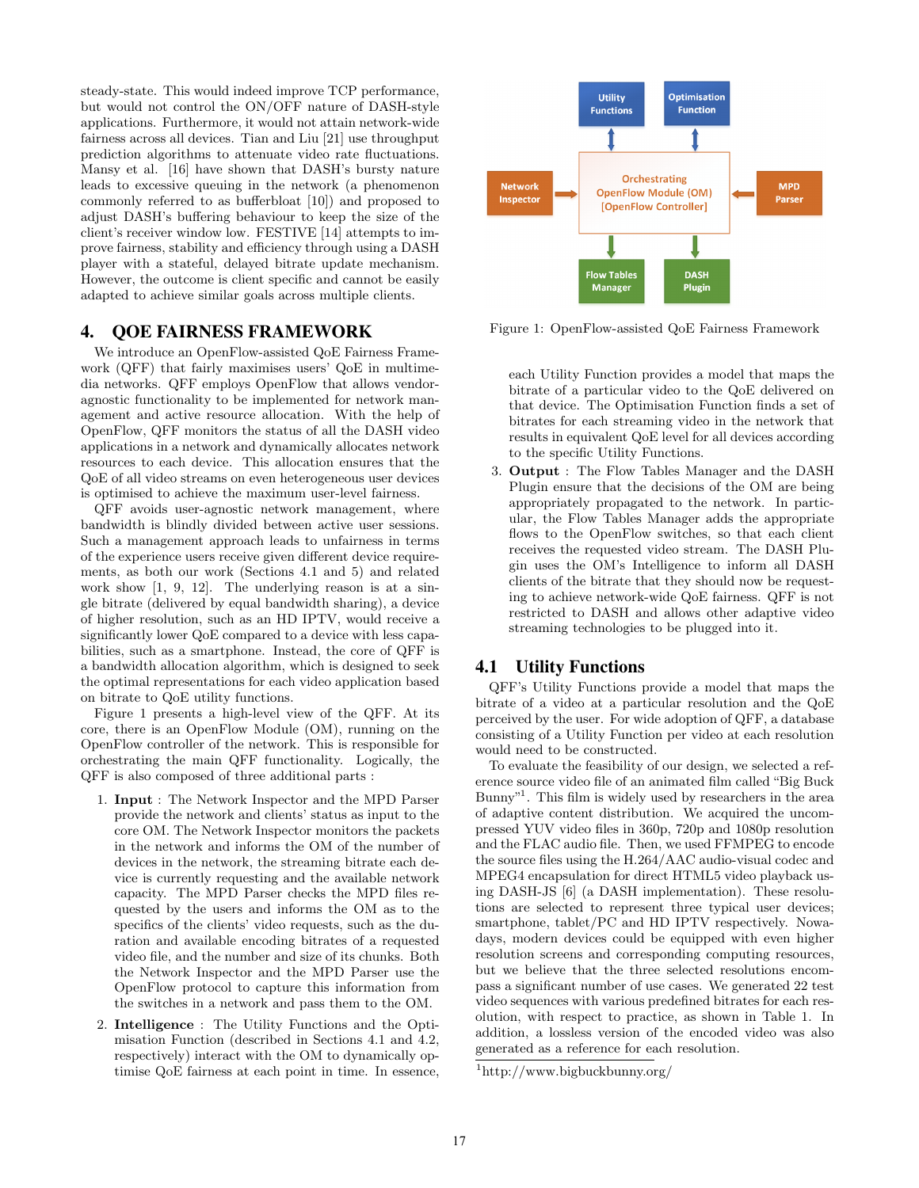steady-state. This would indeed improve TCP performance, but would not control the ON/OFF nature of DASH-style applications. Furthermore, it would not attain network-wide fairness across all devices. Tian and Liu [21] use throughput prediction algorithms to attenuate video rate fluctuations. Mansy et al. [16] have shown that DASH's bursty nature leads to excessive queuing in the network (a phenomenon commonly referred to as bufferbloat [10]) and proposed to adjust DASH's buffering behaviour to keep the size of the client's receiver window low. FESTIVE [14] attempts to improve fairness, stability and efficiency through using a DASH player with a stateful, delayed bitrate update mechanism. However, the outcome is client specific and cannot be easily adapted to achieve similar goals across multiple clients.

#### 4. QOE FAIRNESS FRAMEWORK

We introduce an OpenFlow-assisted QoE Fairness Framework (QFF) that fairly maximises users' QoE in multimedia networks. QFF employs OpenFlow that allows vendoragnostic functionality to be implemented for network management and active resource allocation. With the help of OpenFlow, QFF monitors the status of all the DASH video applications in a network and dynamically allocates network resources to each device. This allocation ensures that the QoE of all video streams on even heterogeneous user devices is optimised to achieve the maximum user-level fairness.

QFF avoids user-agnostic network management, where bandwidth is blindly divided between active user sessions. Such a management approach leads to unfairness in terms of the experience users receive given different device requirements, as both our work (Sections 4.1 and 5) and related work show [1, 9, 12]. The underlying reason is at a single bitrate (delivered by equal bandwidth sharing), a device of higher resolution, such as an HD IPTV, would receive a significantly lower QoE compared to a device with less capabilities, such as a smartphone. Instead, the core of QFF is a bandwidth allocation algorithm, which is designed to seek the optimal representations for each video application based on bitrate to QoE utility functions.

Figure 1 presents a high-level view of the QFF. At its core, there is an OpenFlow Module (OM), running on the OpenFlow controller of the network. This is responsible for orchestrating the main QFF functionality. Logically, the QFF is also composed of three additional parts :

- 1. Input : The Network Inspector and the MPD Parser provide the network and clients' status as input to the core OM. The Network Inspector monitors the packets in the network and informs the OM of the number of devices in the network, the streaming bitrate each device is currently requesting and the available network capacity. The MPD Parser checks the MPD files requested by the users and informs the OM as to the specifics of the clients' video requests, such as the duration and available encoding bitrates of a requested video file, and the number and size of its chunks. Both the Network Inspector and the MPD Parser use the OpenFlow protocol to capture this information from the switches in a network and pass them to the OM.
- 2. Intelligence : The Utility Functions and the Optimisation Function (described in Sections 4.1 and 4.2, respectively) interact with the OM to dynamically optimise QoE fairness at each point in time. In essence,



Figure 1: OpenFlow-assisted QoE Fairness Framework

each Utility Function provides a model that maps the bitrate of a particular video to the QoE delivered on that device. The Optimisation Function finds a set of bitrates for each streaming video in the network that results in equivalent QoE level for all devices according to the specific Utility Functions.

3. Output : The Flow Tables Manager and the DASH Plugin ensure that the decisions of the OM are being appropriately propagated to the network. In particular, the Flow Tables Manager adds the appropriate flows to the OpenFlow switches, so that each client receives the requested video stream. The DASH Plugin uses the OM's Intelligence to inform all DASH clients of the bitrate that they should now be requesting to achieve network-wide QoE fairness. QFF is not restricted to DASH and allows other adaptive video streaming technologies to be plugged into it.

#### 4.1 Utility Functions

QFF's Utility Functions provide a model that maps the bitrate of a video at a particular resolution and the QoE perceived by the user. For wide adoption of QFF, a database consisting of a Utility Function per video at each resolution would need to be constructed.

To evaluate the feasibility of our design, we selected a reference source video file of an animated film called "Big Buck Bunny"<sup>1</sup>. This film is widely used by researchers in the area of adaptive content distribution. We acquired the uncompressed YUV video files in 360p, 720p and 1080p resolution and the FLAC audio file. Then, we used FFMPEG to encode the source files using the H.264/AAC audio-visual codec and MPEG4 encapsulation for direct HTML5 video playback using DASH-JS [6] (a DASH implementation). These resolutions are selected to represent three typical user devices; smartphone, tablet/PC and HD IPTV respectively. Nowadays, modern devices could be equipped with even higher resolution screens and corresponding computing resources, but we believe that the three selected resolutions encompass a significant number of use cases. We generated 22 test video sequences with various predefined bitrates for each resolution, with respect to practice, as shown in Table 1. In addition, a lossless version of the encoded video was also generated as a reference for each resolution.

<sup>1</sup>http://www.bigbuckbunny.org/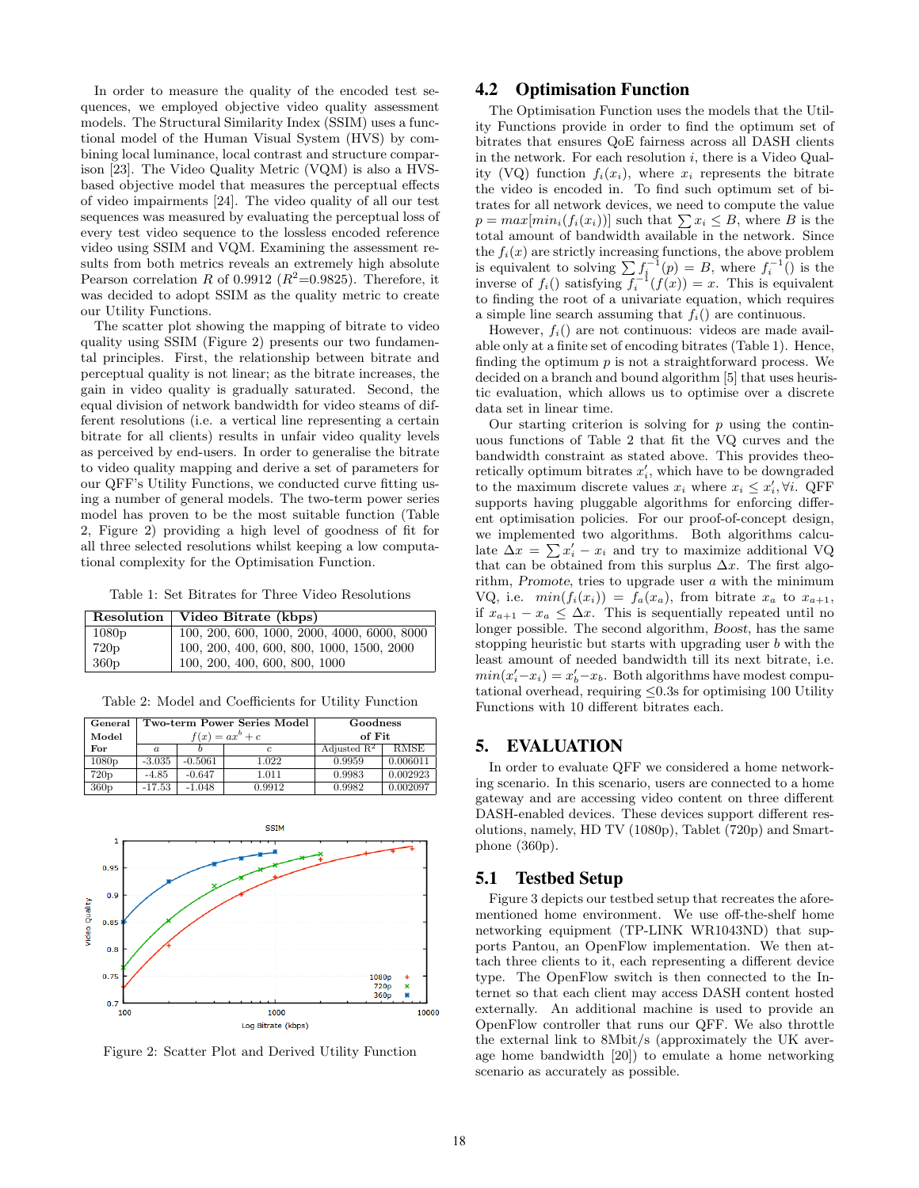In order to measure the quality of the encoded test sequences, we employed objective video quality assessment models. The Structural Similarity Index (SSIM) uses a functional model of the Human Visual System (HVS) by combining local luminance, local contrast and structure comparison [23]. The Video Quality Metric (VQM) is also a HVSbased objective model that measures the perceptual effects of video impairments [24]. The video quality of all our test sequences was measured by evaluating the perceptual loss of every test video sequence to the lossless encoded reference video using SSIM and VQM. Examining the assessment results from both metrics reveals an extremely high absolute Pearson correlation R of 0.9912 ( $R^2$ =0.9825). Therefore, it was decided to adopt SSIM as the quality metric to create our Utility Functions.

The scatter plot showing the mapping of bitrate to video quality using SSIM (Figure 2) presents our two fundamental principles. First, the relationship between bitrate and perceptual quality is not linear; as the bitrate increases, the gain in video quality is gradually saturated. Second, the equal division of network bandwidth for video steams of different resolutions (i.e. a vertical line representing a certain bitrate for all clients) results in unfair video quality levels as perceived by end-users. In order to generalise the bitrate to video quality mapping and derive a set of parameters for our QFF's Utility Functions, we conducted curve fitting using a number of general models. The two-term power series model has proven to be the most suitable function (Table 2, Figure 2) providing a high level of goodness of fit for all three selected resolutions whilst keeping a low computational complexity for the Optimisation Function.

Table 1: Set Bitrates for Three Video Resolutions

|                   | Resolution   Video Bitrate (kbps)                         |  |  |  |  |
|-------------------|-----------------------------------------------------------|--|--|--|--|
| 1080 <sub>D</sub> | $100, 200, 600, 1000, 2000, 4000, 6000, 8000$             |  |  |  |  |
| 720p              | $100,\, 200,\, 400,\, 600,\, 800,\, 1000,\, 1500,\, 2000$ |  |  |  |  |
| 360p              | 100, 200, 400, 600, 800, 1000                             |  |  |  |  |

Table 2: Model and Coefficients for Utility Function

| General | Two-term Power Series Model |           |        | Goodness                |          |
|---------|-----------------------------|-----------|--------|-------------------------|----------|
| Model   | $f(x) = ax^b + c$           |           |        | of Fit.                 |          |
| For     | $\boldsymbol{a}$            |           |        | Adjusted $\mathbb{R}^2$ | RMSE     |
| 1080p   | $-3.035$                    | $-0.5061$ | 1.022  | 0.9959                  | 0.006011 |
| 720p    | $-4.85$                     | $-0.647$  | 1.011  | 0.9983                  | 0.002923 |
| 360p    | $-17.53$                    | $-1.048$  | 0.9912 | 0.9982                  | 0.002097 |



Figure 2: Scatter Plot and Derived Utility Function

#### 4.2 Optimisation Function

The Optimisation Function uses the models that the Utility Functions provide in order to find the optimum set of bitrates that ensures QoE fairness across all DASH clients in the network. For each resolution  $i$ , there is a Video Quality (VQ) function  $f_i(x_i)$ , where  $x_i$  represents the bitrate the video is encoded in. To find such optimum set of bitrates for all network devices, we need to compute the value  $p = max[min_i(f_i(x_i))]$  such that  $\sum x_i \leq B$ , where B is the total amount of bandwidth available in the network. Since the  $f_i(x)$  are strictly increasing functions, the above problem is equivalent to solving  $\sum f_i^{-1}(p) = B$ , where  $f_i^{-1}(i)$  is the inverse of  $f_i()$  satisfying  $\overline{f_i}^{-1}(f(x)) = x$ . This is equivalent to finding the root of a univariate equation, which requires a simple line search assuming that  $f_i()$  are continuous.

However,  $f_i()$  are not continuous: videos are made available only at a finite set of encoding bitrates (Table 1). Hence, finding the optimum  $p$  is not a straightforward process. We decided on a branch and bound algorithm [5] that uses heuristic evaluation, which allows us to optimise over a discrete data set in linear time.

Our starting criterion is solving for  $p$  using the continuous functions of Table 2 that fit the VQ curves and the bandwidth constraint as stated above. This provides theoretically optimum bitrates  $x_i'$ , which have to be downgraded to the maximum discrete values  $x_i$  where  $x_i \leq x'_i, \forall i$ . QFF supports having pluggable algorithms for enforcing different optimisation policies. For our proof-of-concept design, we implemented two algorithms. Both algorithms calculate  $\Delta x = \sum x'_i - x_i$  and try to maximize additional VQ that can be obtained from this surplus  $\Delta x$ . The first algorithm, Promote, tries to upgrade user a with the minimum VQ, i.e.  $min(f_i(x_i)) = f_a(x_a)$ , from bitrate  $x_a$  to  $x_{a+1}$ , if  $x_{a+1} - x_a \leq \Delta x$ . This is sequentially repeated until no longer possible. The second algorithm, Boost, has the same stopping heuristic but starts with upgrading user  $b$  with the least amount of needed bandwidth till its next bitrate, i.e.  $min(x'_i-x_i) = x'_b-x_b$ . Both algorithms have modest computational overhead, requiring  $\leq 0.3$ s for optimising 100 Utility Functions with 10 different bitrates each.

#### 5. EVALUATION

In order to evaluate QFF we considered a home networking scenario. In this scenario, users are connected to a home gateway and are accessing video content on three different DASH-enabled devices. These devices support different resolutions, namely, HD TV (1080p), Tablet (720p) and Smartphone (360p).

#### 5.1 Testbed Setup

Figure 3 depicts our testbed setup that recreates the aforementioned home environment. We use off-the-shelf home networking equipment (TP-LINK WR1043ND) that supports Pantou, an OpenFlow implementation. We then attach three clients to it, each representing a different device type. The OpenFlow switch is then connected to the Internet so that each client may access DASH content hosted externally. An additional machine is used to provide an OpenFlow controller that runs our QFF. We also throttle the external link to 8Mbit/s (approximately the UK average home bandwidth [20]) to emulate a home networking scenario as accurately as possible.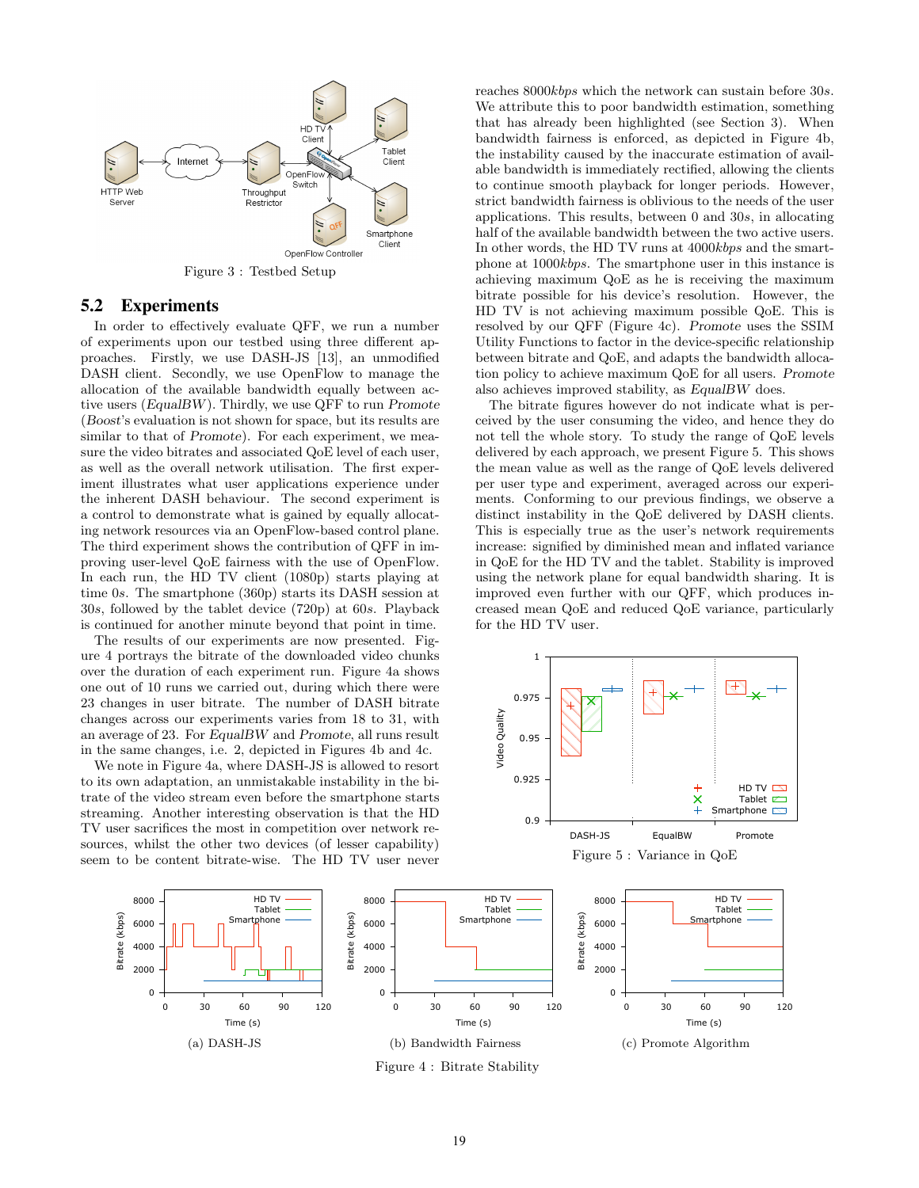

Figure 3 : Testbed Setup

#### 5.2 Experiments

In order to effectively evaluate QFF, we run a number of experiments upon our testbed using three different approaches. Firstly, we use DASH-JS [13], an unmodified DASH client. Secondly, we use OpenFlow to manage the allocation of the available bandwidth equally between active users (EqualBW). Thirdly, we use QFF to run Promote (Boost's evaluation is not shown for space, but its results are similar to that of Promote). For each experiment, we measure the video bitrates and associated QoE level of each user, as well as the overall network utilisation. The first experiment illustrates what user applications experience under the inherent DASH behaviour. The second experiment is a control to demonstrate what is gained by equally allocating network resources via an OpenFlow-based control plane. The third experiment shows the contribution of QFF in improving user-level QoE fairness with the use of OpenFlow. In each run, the HD TV client (1080p) starts playing at time 0s. The smartphone (360p) starts its DASH session at 30s, followed by the tablet device (720p) at 60s. Playback is continued for another minute beyond that point in time.

The results of our experiments are now presented. Figure 4 portrays the bitrate of the downloaded video chunks over the duration of each experiment run. Figure 4a shows one out of 10 runs we carried out, during which there were 23 changes in user bitrate. The number of DASH bitrate changes across our experiments varies from 18 to 31, with an average of 23. For EqualBW and Promote, all runs result in the same changes, i.e. 2, depicted in Figures 4b and 4c.

We note in Figure 4a, where DASH-JS is allowed to resort to its own adaptation, an unmistakable instability in the bitrate of the video stream even before the smartphone starts streaming. Another interesting observation is that the HD TV user sacrifices the most in competition over network resources, whilst the other two devices (of lesser capability) seem to be content bitrate-wise. The HD TV user never reaches 8000kbps which the network can sustain before 30s. We attribute this to poor bandwidth estimation, something that has already been highlighted (see Section 3). When bandwidth fairness is enforced, as depicted in Figure 4b, the instability caused by the inaccurate estimation of available bandwidth is immediately rectified, allowing the clients to continue smooth playback for longer periods. However, strict bandwidth fairness is oblivious to the needs of the user applications. This results, between 0 and 30s, in allocating half of the available bandwidth between the two active users. In other words, the HD TV runs at 4000kbps and the smartphone at 1000kbps. The smartphone user in this instance is achieving maximum QoE as he is receiving the maximum bitrate possible for his device's resolution. However, the HD TV is not achieving maximum possible QoE. This is resolved by our QFF (Figure 4c). Promote uses the SSIM Utility Functions to factor in the device-specific relationship between bitrate and QoE, and adapts the bandwidth allocation policy to achieve maximum QoE for all users. Promote also achieves improved stability, as EqualBW does.

The bitrate figures however do not indicate what is perceived by the user consuming the video, and hence they do not tell the whole story. To study the range of QoE levels delivered by each approach, we present Figure 5. This shows the mean value as well as the range of QoE levels delivered per user type and experiment, averaged across our experiments. Conforming to our previous findings, we observe a distinct instability in the QoE delivered by DASH clients. This is especially true as the user's network requirements increase: signified by diminished mean and inflated variance in QoE for the HD TV and the tablet. Stability is improved using the network plane for equal bandwidth sharing. It is improved even further with our QFF, which produces increased mean QoE and reduced QoE variance, particularly for the HD TV user.